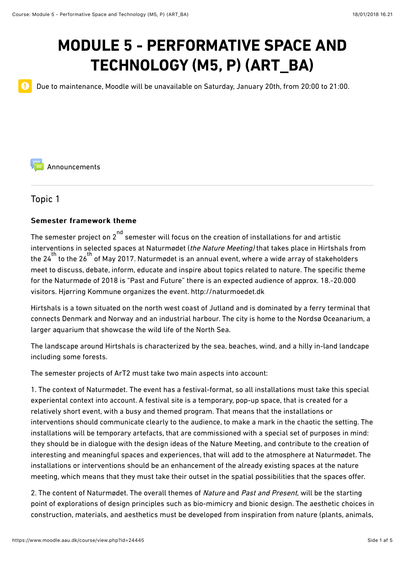# **MODULE 5 - PERFORMATIVE SPACE AND TECHNOLOGY (M5, P) (ART\_BA)**

Due to maintenance, Moodle will be unavailable on Saturday, January 20th, from 20:00 to 21:00.

[Announcements](https://www.moodle.aau.dk/mod/forum/view.php?id=697058)

Topic 1

 $\mathbf 0$ 

#### Semester framework theme

The semester project on 2  $\degree$  semester will focus on the creation of installations for and artistic interventions in selected spaces at Naturmødet (the Nature Meeting) that takes place in Hirtshals from the 24<sup>th</sup> to the 26<sup>th</sup> of May 2017. Naturmødet is an annual event, where a wide array of stakeholders meet to discuss, debate, inform, educate and inspire about topics related to nature. The specific theme for the Naturmøde of 2018 is "Past and Future" there is an expected audience of approx. 18.-20.000 visitors. Hjørring Kommune organizes the event. [http://naturmoedet.dk](http://naturmoedet.dk/)

Hirtshals is a town situated on the north west coast of Jutland and is dominated by a ferry terminal that connects Denmark and Norway and an industrial harbour. The city is home to the Nordsø Oceanarium, a larger aquarium that showcase the wild life of the North Sea.

The landscape around Hirtshals is characterized by the sea, beaches, wind, and a hilly in-land landcape including some forests.

The semester projects of ArT2 must take two main aspects into account:

1. The context of Naturmødet. The event has a festival-format, so all installations must take this special experiental context into account. A festival site is a temporary, pop-up space, that is created for a relatively short event, with a busy and themed program. That means that the installations or interventions should communicate clearly to the audience, to make a mark in the chaotic the setting. The installations will be temporary artefacts, that are commissioned with a special set of purposes in mind: they should be in dialogue with the design ideas of the Nature Meeting, and contribute to the creation of interesting and meaningful spaces and experiences, that will add to the atmosphere at Naturmødet. The installations or interventions should be an enhancement of the already existing spaces at the nature meeting, which means that they must take their outset in the spatial possibilities that the spaces ofer.

2. The content of Naturmødet. The overall themes of Nature and Past and Present, will be the starting point of explorations of design principles such as bio-mimicry and bionic design. The aesthetic choices in construction, materials, and aesthetics must be developed from inspiration from nature (plants, animals,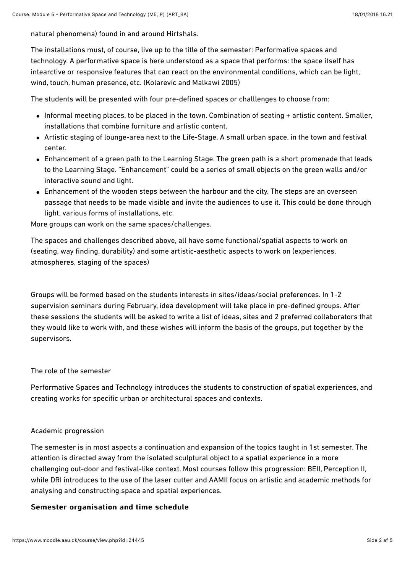natural phenomena) found in and around Hirtshals.

The installations must, of course, live up to the title of the semester: Performative spaces and technology. A performative space is here understood as a space that performs: the space itself has intearctive or responsive features that can react on the environmental conditions, which can be light, wind, touch, human presence, etc. (Kolarevic and Malkawi 2005)

The students will be presented with four pre-defined spaces or challlenges to choose from:

- Informal meeting places, to be placed in the town. Combination of seating + artistic content. Smaller, installations that combine furniture and artistic content.
- Artistic staging of lounge-area next to the Life-Stage. A small urban space, in the town and festival center.
- Enhancement of a green path to the Learning Stage. The green path is a short promenade that leads to the Learning Stage. "Enhancement" could be a series of small objects on the green walls and/or interactive sound and light.
- Enhancement of the wooden steps between the harbour and the city. The steps are an overseen passage that needs to be made visible and invite the audiences to use it. This could be done through light, various forms of installations, etc.

More groups can work on the same spaces/challenges.

The spaces and challenges described above, all have some functional/spatial aspects to work on (seating, way finding, durability) and some artistic-aesthetic aspects to work on (experiences, atmospheres, staging of the spaces)

Groups will be formed based on the students interests in sites/ideas/social preferences. In 1-2 supervision seminars during February, idea development will take place in pre-defined groups. After these sessions the students will be asked to write a list of ideas, sites and 2 preferred collaborators that they would like to work with, and these wishes will inform the basis of the groups, put together by the supervisors.

#### The role of the semester

Performative Spaces and Technology introduces the students to construction of spatial experiences, and creating works for specific urban or architectural spaces and contexts.

#### Academic progression

The semester is in most aspects a continuation and expansion of the topics taught in 1st semester. The attention is directed away from the isolated sculptural object to a spatial experience in a more challenging out-door and festival-like context. Most courses follow this progression: BEII, Perception II, while DRI introduces to the use of the laser cutter and AAMII focus on artistic and academic methods for analysing and constructing space and spatial experiences.

#### Semester organisation and time schedule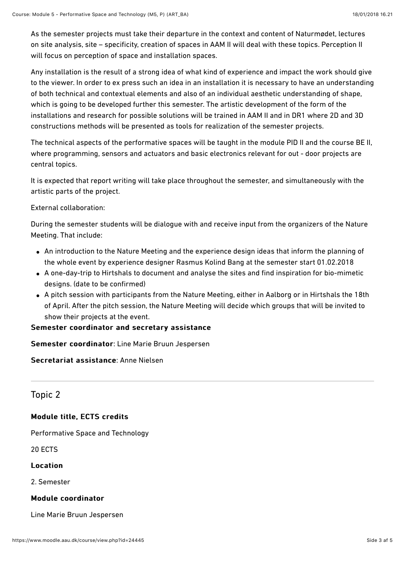As the semester projects must take their departure in the context and content of Naturmødet, lectures on site analysis, site – specificity, creation of spaces in AAM II will deal with these topics. Perception II will focus on perception of space and installation spaces.

Any installation is the result of a strong idea of what kind of experience and impact the work should give to the viewer. In order to ex press such an idea in an installation it is necessary to have an understanding of both technical and contextual elements and also of an individual aesthetic understanding of shape, which is going to be developed further this semester. The artistic development of the form of the installations and research for possible solutions will be trained in AAM II and in DR1 where 2D and 3D constructions methods will be presented as tools for realization of the semester projects.

The technical aspects of the performative spaces will be taught in the module PID II and the course BE II, where programming, sensors and actuators and basic electronics relevant for out - door projects are central topics.

It is expected that report writing will take place throughout the semester, and simultaneously with the artistic parts of the project.

External collaboration:

During the semester students will be dialogue with and receive input from the organizers of the Nature Meeting. That include:

- An introduction to the Nature Meeting and the experience design ideas that inform the planning of the whole event by experience designer Rasmus Kolind Bang at the semester start 01.02.2018
- A one-day-trip to Hirtshals to document and analyse the sites and find inspiration for bio-mimetic designs. (date to be confirmed)
- A pitch session with participants from the Nature Meeting, either in Aalborg or in Hirtshals the 18th of April. After the pitch session, the Nature Meeting will decide which groups that will be invited to show their projects at the event.

Semester coordinator and secretary assistance

Semester coordinator: Line Marie Bruun Jespersen

Secretariat assistance: Anne Nielsen

# Topic 2

#### Module title, ECTS credits

Performative Space and Technology

20 ECTS

#### Location Location

2. Semester

#### Module coordinator Module coordinator

Line Marie Bruun Jespersen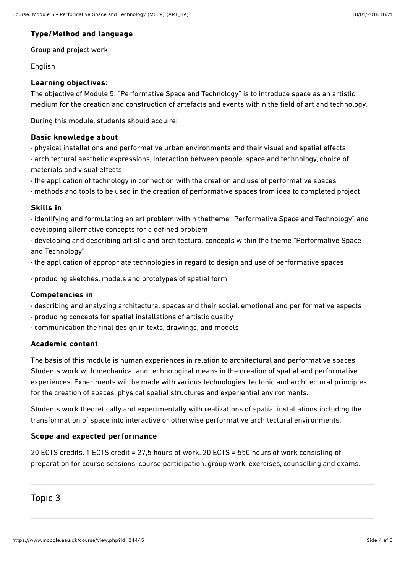#### Type/Method and language

Group and project work

#### **English**

#### Learning objectives: Learning objectives:

The objective of Module 5: "Performative Space and Technology" is to introduce space as an artistic medium for the creation and construction of artefacts and events within the field of art and technology.

During this module, students should acquire:

#### Basic knowledge about

- · physical installations and performative urban environments and their visual and spatial efects
- · architectural aesthetic expressions, interaction between people, space and technology, choice of materials and visual efects
- · the application of technology in connection with the creation and use of performative spaces
- · methods and tools to be used in the creation of performative spaces from idea to completed project

#### **Skills in**

- · identifying and formulating an art problem within thetheme "Performative Space and Technology" and developing alternative concepts for a defined problem
- · developing and describing artistic and architectural concepts within the theme "Performative Space and Technology"
- · the application of appropriate technologies in regard to design and use of performative spaces

· producing sketches, models and prototypes of spatial form

#### Competencies in Competencies in

- · describing and analyzing architectural spaces and their social, emotional and per formative aspects
- · producing concepts for spatial installations of artistic quality
- · communication the final design in texts, drawings, and models

#### Academic content Academic content

The basis of this module is human experiences in relation to architectural and performative spaces. Students work with mechanical and technological means in the creation of spatial and performative experiences. Experiments will be made with various technologies, tectonic and architectural principles for the creation of spaces, physical spatial structures and experiential environments.

Students work theoretically and experimentally with realizations of spatial installations including the transformation of space into interactive or otherwise performative architectural environments.

#### Scope and expected performance

20 ECTS credits. 1 ECTS credit = 27,5 hours of work. 20 ECTS = 550 hours of work consisting of preparation for course sessions, course participation, group work, exercises, counselling and exams.

#### Topic 3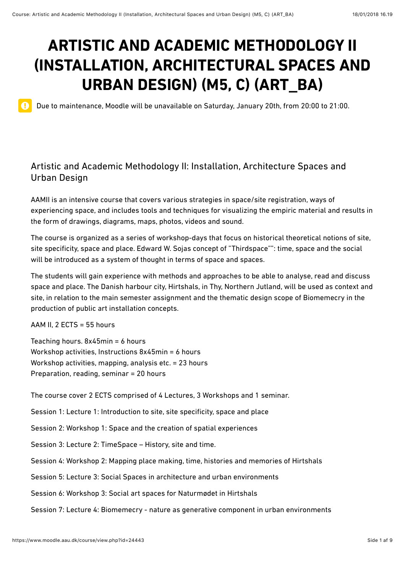# **ARTISTIC AND ACADEMIC METHODOLOGY II (INSTALLATION, ARCHITECTURAL SPACES AND URBAN DESIGN) (M5, C) (ART\_BA)**

Due to maintenance, Moodle will be unavailable on Saturday, January 20th, from 20:00 to 21:00.

# Artistic and Academic Methodology II: Installation, Architecture Spaces and Urban Design

AAMII is an intensive course that covers various strategies in space/site registration, ways of experiencing space, and includes tools and techniques for visualizing the empiric material and results in the form of drawings, diagrams, maps, photos, videos and sound.

The course is organized as a series of workshop-days that focus on historical theoretical notions of site, site specificity, space and place. Edward W. Sojas concept of "Thirdspace"": time, space and the social will be introduced as a system of thought in terms of space and spaces.

The students will gain experience with methods and approaches to be able to analyse, read and discuss space and place. The Danish harbour city, Hirtshals, in Thy, Northern Jutland, will be used as context and site, in relation to the main semester assignment and the thematic design scope of Biomemecry in the production of public art installation concepts.

AAM II, 2 ECTS = 55 hours

 $\mathbf 0$ 

Teaching hours. 8x45min = 6 hours Workshop activities, Instructions 8x45min = 6 hours Workshop activities, mapping, analysis etc. = 23 hours Preparation, reading, seminar = 20 hours

The course cover 2 ECTS comprised of 4 Lectures, 3 Workshops and 1 seminar.

Session 1: Lecture 1: Introduction to site, site specificity, space and place

Session 2: Workshop 1: Space and the creation of spatial experiences

Session 3: Lecture 2: TimeSpace – History, site and time.

Session 4: Workshop 2: Mapping place making, time, histories and memories of Hirtshals

Session 5: Lecture 3: Social Spaces in architecture and urban environments

Session 6: Workshop 3: Social art spaces for Naturmødet in Hirtshals

Session 7: Lecture 4: Biomemecry - nature as generative component in urban environments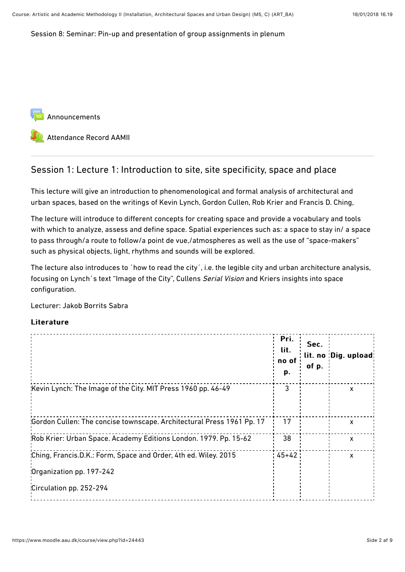Session 8: Seminar: Pin-up and presentation of group assignments in plenum

[Announcements](https://www.moodle.aau.dk/mod/forum/view.php?id=696991)

[Attendance Record AAMII](https://www.moodle.aau.dk/mod/attendance/view.php?id=712887)

# Session 1: Lecture 1: Introduction to site, site specificity, space and place

This lecture will give an introduction to phenomenological and formal analysis of architectural and urban spaces, based on the writings of Kevin Lynch, Gordon Cullen, Rob Krier and Francis D. Ching,

The lecture will introduce to diferent concepts for creating space and provide a vocabulary and tools with which to analyze, assess and define space. Spatial experiences such as: a space to stay in/ a space to pass through/a route to follow/a point de vue,/atmospheres as well as the use of "space-makers" such as physical objects, light, rhythms and sounds will be explored.

The lecture also introduces to ´how to read the city´, i.e. the legible city and urban architecture analysis, focusing on Lynch's text "Image of the City", Cullens Serial Vision and Kriers insights into space configuration.

Lecturer: Jakob Borrits Sabra

|                                                                                             | Pri.<br>lit.<br>no of<br>p. | Sec.<br>of p. | lit. no :Dig. upload:     |
|---------------------------------------------------------------------------------------------|-----------------------------|---------------|---------------------------|
| Kevin Lynch: The Image of the City. MIT Press 1960 pp. 46-49                                | 3                           |               | x                         |
| 'Gordon Cullen: The concise townscape. Architectural Press 1961 Pp. 17                      | 17                          |               | X                         |
| 'Rob Krier: Urban Space. Academy Editions London. 1979. Pp. 15-62                           | 38                          |               | X                         |
| Ching, Francis.D.K.: Form, Space and Order, 4th ed. Wiley. 2015<br>Organization pp. 197-242 | : 45+42 :                   |               | $\boldsymbol{\mathsf{x}}$ |
| Circulation pp. 252-294                                                                     |                             |               |                           |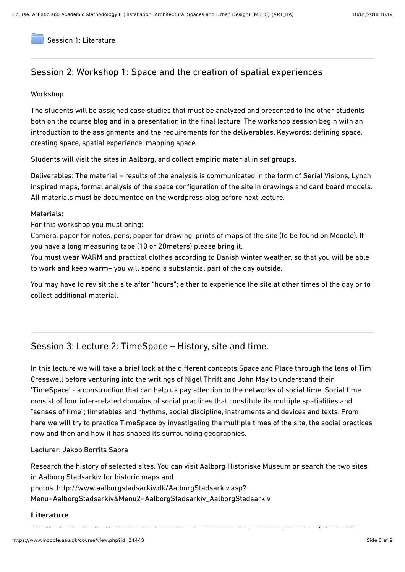[Session 1: Literature](https://www.moodle.aau.dk/mod/folder/view.php?id=712888)

# Session 2: Workshop 1: Space and the creation of spatial experiences

#### Workshop

The students will be assigned case studies that must be analyzed and presented to the other students both on the course blog and in a presentation in the final lecture. The workshop session begin with an introduction to the assignments and the requirements for the deliverables. Keywords: defining space, creating space, spatial experience, mapping space.

Students will visit the sites in Aalborg, and collect empiric material in set groups.

Deliverables: The material + results of the analysis is communicated in the form of Serial Visions, Lynch inspired maps, formal analysis of the space configuration of the site in drawings and card board models. All materials must be documented on the wordpress blog before next lecture.

#### Materials:

For this workshop you must bring:

Camera, paper for notes, pens, paper for drawing, prints of maps of the site (to be found on Moodle). If you have a long measuring tape (10 or 20meters) please bring it.

You must wear WARM and practical clothes according to Danish winter weather, so that you will be able to work and keep warm– you will spend a substantial part of the day outside.

You may have to revisit the site after "hours"; either to experience the site at other times of the day or to collect additional material.

#### Session 3: Lecture 2: TimeSpace – History, site and time.

In this lecture we will take a brief look at the diferent concepts Space and Place through the lens of Tim Cresswell before venturing into the writings of Nigel Thrift and John May to understand their 'TimeSpace' - a construction that can help us pay attention to the networks of social time. Social time consist of four inter-related domains of social practices that constitute its multiple spatialities and "senses of time"; timetables and rhythms, social discipline, instruments and devices and texts. From here we will try to practice TimeSpace by investigating the multiple times of the site, the social practices now and then and how it has shaped its surrounding geographies.

#### Lecturer: Jakob Borrits Sabra

Research the history of selected sites. You can visit Aalborg Historiske Museum or search the two sites in Aalborg Stadsarkiv for historic maps and photos. http://www.aalborgstadsarkiv.dk/AalborgStadsarkiv.asp? [Menu=AalborgStadsarkiv&Menu2=AalborgStadsarkiv\\_AalborgStadsarkiv](http://www.aalborgstadsarkiv.dk/AalborgStadsarkiv.asp?Menu=AalborgStadsarkiv&Menu2=AalborgStadsarkiv_AalborgStadsarkiv)

#### Literature

..................................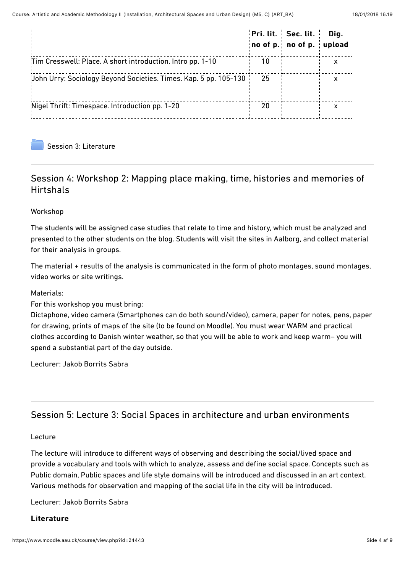|                                                                  |    | Pri. lit.   Sec. lit.<br>no of p. no of p. upload | Dig. |
|------------------------------------------------------------------|----|---------------------------------------------------|------|
| Tim Cresswell: Place. A short introduction. Intro pp. 1-10       | 10 |                                                   |      |
| Uohn Urry: Sociology Beyond Societies. Times. Kap. 5 pp. 105-130 | 25 |                                                   |      |
| 'Nigel Thrift: Timespace. Introduction pp. 1-20                  | 20 |                                                   |      |
|                                                                  |    |                                                   |      |

[Session 3: Literature](https://www.moodle.aau.dk/mod/folder/view.php?id=712889)

# Session 4: Workshop 2: Mapping place making, time, histories and memories of Hirtshals

#### Workshop

The students will be assigned case studies that relate to time and history, which must be analyzed and presented to the other students on the blog. Students will visit the sites in Aalborg, and collect material for their analysis in groups.

The material + results of the analysis is communicated in the form of photo montages, sound montages, video works or site writings.

Materials:

For this workshop you must bring:

Dictaphone, video camera (Smartphones can do both sound/video), camera, paper for notes, pens, paper for drawing, prints of maps of the site (to be found on Moodle). You must wear WARM and practical clothes according to Danish winter weather, so that you will be able to work and keep warm– you will spend a substantial part of the day outside.

Lecturer: Jakob Borrits Sabra

# Session 5: Lecture 3: Social Spaces in architecture and urban environments

#### Lecture

The lecture will introduce to diferent ways of observing and describing the social/lived space and provide a vocabulary and tools with which to analyze, assess and define social space. Concepts such as Public domain, Public spaces and life style domains will be introduced and discussed in an art context. Various methods for observation and mapping of the social life in the city will be introduced.

Lecturer: Jakob Borrits Sabra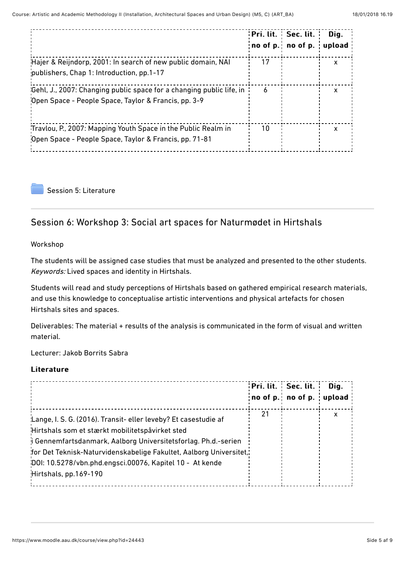|                                                                                                                              |    | Pri. lit. Sec. lit.<br>no of $p_$ . no of $p_$ . | Dig.<br>upload |
|------------------------------------------------------------------------------------------------------------------------------|----|--------------------------------------------------|----------------|
| Hajer & Reijndorp, 2001: In search of new public domain, NAI<br>publishers, Chap 1: Introduction, pp.1-17                    | 17 |                                                  | X              |
| Gehl, J., 2007: Changing public space for a changing public life, in<br>Open Space - People Space, Taylor & Francis, pp. 3-9 | 6  |                                                  | x              |
| Travlou, P., 2007: Mapping Youth Space in the Public Realm in<br>Open Space - People Space, Taylor & Francis, pp. 71-81      | 10 |                                                  | X              |

[Session 5: Literature](https://www.moodle.aau.dk/mod/folder/view.php?id=712890)

# Session 6: Workshop 3: Social art spaces for Naturmødet in Hirtshals

Workshop

The students will be assigned case studies that must be analyzed and presented to the other students. Keywords: Lived spaces and identity in Hirtshals.

Students will read and study perceptions of Hirtshals based on gathered empirical research materials, and use this knowledge to conceptualise artistic interventions and physical artefacts for chosen Hirtshals sites and spaces.

Deliverables: The material + results of the analysis is communicated in the form of visual and written material.

Lecturer: Jakob Borrits Sabra

|                                                                                                                                                                                                                                                                                                                                                     |    | Pri. lit. Sec. lit.<br>no of p. no of p. upload | Dig. |  |
|-----------------------------------------------------------------------------------------------------------------------------------------------------------------------------------------------------------------------------------------------------------------------------------------------------------------------------------------------------|----|-------------------------------------------------|------|--|
| 'Lange, I. S. G. (2016). Transit- eller leveby? Et casestudie af<br>Hirtshals som et stærkt mobilitetspåvirket sted<br>i Gennemfartsdanmark, Aalborg Universitetsforlag. Ph.d.-serien<br>"for Det Teknisk-Naturvidenskabelige Fakultet, Aalborg Universitet,"<br>'DOI: 10.5278/vbn.phd.engsci.00076, Kapitel 10 - At kende<br>Hirtshals, pp.169-190 | 21 |                                                 | X    |  |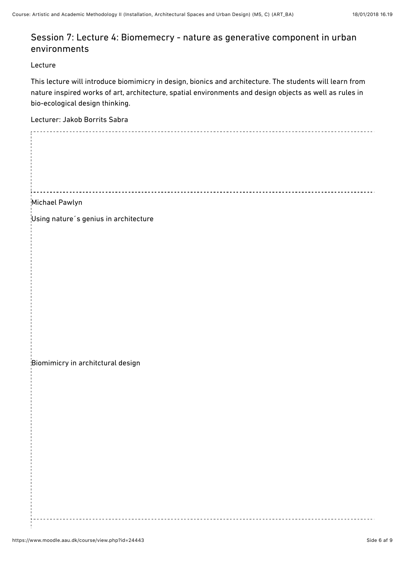# Session 7: Lecture 4: Biomemecry - nature as generative component in urban environments

#### Lecture

This lecture will introduce biomimicry in design, bionics and architecture. The students will learn from nature inspired works of art, architecture, spatial environments and design objects as well as rules in bio-ecological design thinking.

Lecturer: Jakob Borrits Sabra

| Michael Pawlyn                        |
|---------------------------------------|
| Using nature's genius in architecture |
|                                       |
|                                       |
|                                       |
|                                       |
|                                       |
|                                       |
|                                       |
| Biomimicry in architctural design     |
|                                       |
|                                       |
|                                       |
|                                       |
|                                       |
|                                       |
|                                       |
|                                       |
|                                       |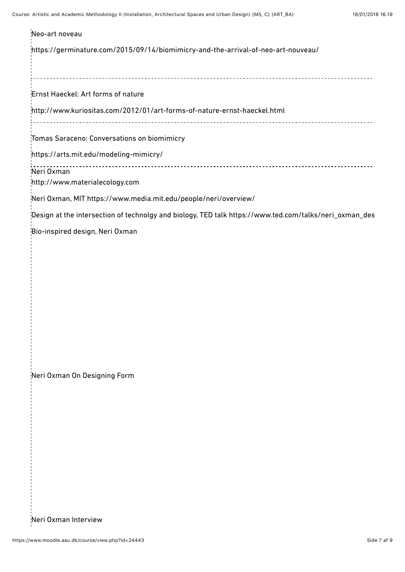| Neo-art noveau                                                                                         |
|--------------------------------------------------------------------------------------------------------|
| https://germinature.com/2015/09/14/biomimicry-and-the-arrival-of-neo-art-nouveau/                      |
| Ernst Haeckel: Art forms of nature                                                                     |
| http://www.kuriositas.com/2012/01/art-forms-of-nature-ernst-haeckel.html<br>.                          |
| Tomas Saraceno: Conversations on biomimicry                                                            |
| https://arts.mit.edu/modeling-mimicry/                                                                 |
| Neri Oxman<br>http://www.materialecology.com                                                           |
| Neri Oxman, MIT https://www.media.mit.edu/people/neri/overview/                                        |
| Design at the intersection of technolgy and biology, TED talk https://www.ted.com/talks/neri_oxman_des |
|                                                                                                        |
| Neri Oxman On Designing Form                                                                           |
| Neri Oxman Interview                                                                                   |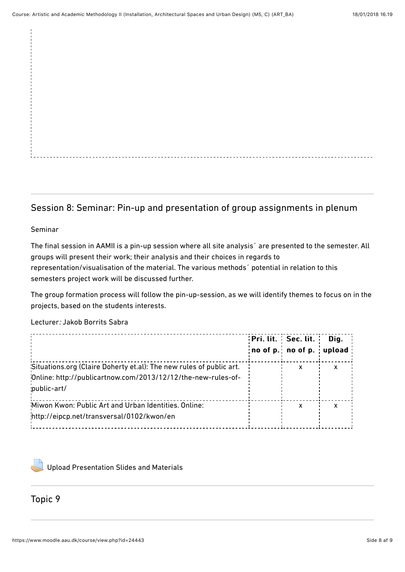# Session 8: Seminar: Pin-up and presentation of group assignments in plenum

#### Seminar

The final session in AAMII is a pin-up session where all site analysis´ are presented to the semester. All groups will present their work; their analysis and their choices in regards to representation/visualisation of the material. The various methods´ potential in relation to this semesters project work will be discussed further.

The group formation process will follow the pin-up-session, as we will identify themes to focus on in the projects, based on the students interests.

Lecturer: Jakob Borrits Sabra

|                                                                                                    | Pri. lit. Sec. lit.                      | Dig. |
|----------------------------------------------------------------------------------------------------|------------------------------------------|------|
|                                                                                                    | $ no$ of $p$ $ no$ of $p$ $ no$ $od$ $ $ |      |
| 'Situations.org (Claire Doherty et.al): The new rules of public art.                               | x                                        | X    |
| Online: http://publicartnow.com/2013/12/12/the-new-rules-of-<br>public-art/                        |                                          |      |
| 'Miwon Kwon: Public Art and Urban Identities. Online:<br>http://eipcp.net/transversal/0102/kwon/en | X                                        | x    |



[Upload Presentation Slides and Materials](https://www.moodle.aau.dk/mod/assign/view.php?id=712892)

# Topic 9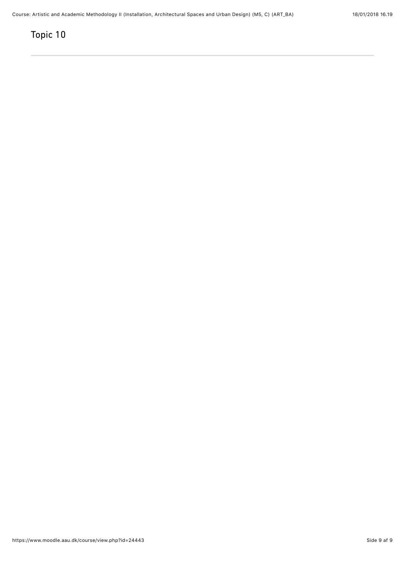# Topic 10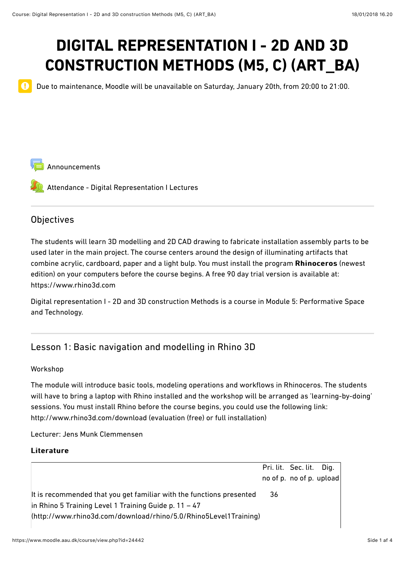# **DIGITAL REPRESENTATION I - 2D AND 3D CONSTRUCTION METHODS (M5, C) (ART\_BA)**

Due to maintenance, Moodle will be unavailable on Saturday, January 20th, from 20:00 to 21:00.

[Announcements](https://www.moodle.aau.dk/mod/forum/view.php?id=720888)

[Attendance - Digital Representation I Lectures](https://www.moodle.aau.dk/mod/attendance/view.php?id=720889)

## **Objectives**

 $\mathbf 0$ 

The students will learn 3D modelling and 2D CAD drawing to fabricate installation assembly parts to be used later in the main project. The course centers around the design of illuminating artifacts that combine acrylic, cardboard, paper and a light bulp. You must install the program Rhinoceros (newest edition) on your computers before the course begins. A free 90 day trial version is available at: https://www.rhino3d.com

[Digital representation I - 2D and 3D construction Methods is a course in Module 5: Performative Space](https://www.moodle.aau.dk/course/view.php?id=20972) and Technology.

# Lesson 1: Basic navigation and modelling in Rhino 3D

#### Workshop

The module will introduce basic tools, modeling operations and workflows in Rhinoceros. The students will have to bring a laptop with Rhino installed and the workshop will be arranged as 'learning-by-doing' sessions. You must install Rhino before the course begins, you could use the following link: http://www.rhino3d.com/download (evaluation (free) or full installation)

Lecturer: Jens Munk Clemmensen

|                                                                      |    | Pri. lit. Sec. lit. Dig. |  |
|----------------------------------------------------------------------|----|--------------------------|--|
|                                                                      |    | no of p. no of p. upload |  |
| It is recommended that you get familiar with the functions presented | 36 |                          |  |
| $\vert$ in Rhino 5 Training Level 1 Training Guide p. 11 – 47        |    |                          |  |
| (http://www.rhino3d.com/download/rhino/5.0/Rhino5Level1Training)     |    |                          |  |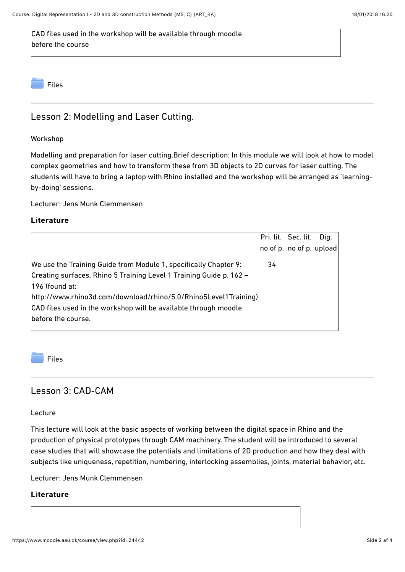CAD files used in the workshop will be available through moodle before the course



# Lesson 2: Modelling and Laser Cutting.

#### Workshop

Modelling and preparation for laser cutting.Brief description: In this module we will look at how to model complex geometries and how to transform these from 3D objects to 2D curves for laser cutting. The students will have to bring a laptop with Rhino installed and the workshop will be arranged as 'learningby-doing' sessions.

Lecturer: Jens Munk Clemmensen

#### Literature

|                                                                     |    | Pri. lit. Sec. lit.      | Dig. |
|---------------------------------------------------------------------|----|--------------------------|------|
|                                                                     |    | no of p. no of p. upload |      |
| We use the Training Guide from Module 1, specifically Chapter 9:    | 34 |                          |      |
| Creating surfaces. Rhino 5 Training Level 1 Training Guide p. 162 - |    |                          |      |
| $ 196$ (found at:                                                   |    |                          |      |
| http://www.rhino3d.com/download/rhino/5.0/Rhino5Level1Training)     |    |                          |      |
| CAD files used in the workshop will be available through moodle     |    |                          |      |
| before the course.                                                  |    |                          |      |
|                                                                     |    |                          |      |



## Lesson 3: CAD-CAM

Lecture

This lecture will look at the basic aspects of working between the digital space in Rhino and the production of physical prototypes through CAM machinery. The student will be introduced to several case studies that will showcase the potentials and limitations of 2D production and how they deal with subjects like uniqueness, repetition, numbering, interlocking assemblies, joints, material behavior, etc.

Lecturer: Jens Munk Clemmensen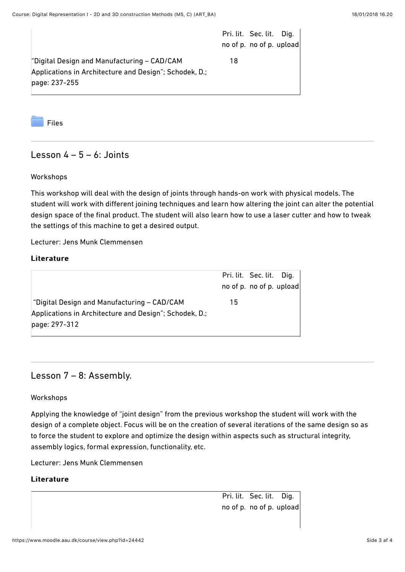|                                                        | Pri. lit. Sec. lit. Dig. |  |
|--------------------------------------------------------|--------------------------|--|
|                                                        | no of p. no of p. upload |  |
| "Digital Design and Manufacturing - CAD/CAM            | 18                       |  |
| Applications in Architecture and Design"; Schodek, D.; |                          |  |
| page: 237-255                                          |                          |  |
|                                                        |                          |  |

[Files](https://www.moodle.aau.dk/mod/folder/view.php?id=720892)

## Lesson  $4 - 5 - 6$ : Joints

#### Workshops

This workshop will deal with the design of joints through hands-on work with physical models. The student will work with diferent joining techniques and learn how altering the joint can alter the potential design space of the final product. The student will also learn how to use a laser cutter and how to tweak the settings of this machine to get a desired output.

Lecturer: Jens Munk Clemmensen

#### Literature

|                                                        |    | Pri. lit. Sec. lit. Dig. |  |
|--------------------------------------------------------|----|--------------------------|--|
|                                                        |    | no of p. no of p. upload |  |
| "Digital Design and Manufacturing – CAD/CAM            | 15 |                          |  |
| Applications in Architecture and Design"; Schodek, D.; |    |                          |  |
| page: 297-312                                          |    |                          |  |
|                                                        |    |                          |  |

### Lesson 7 – 8: Assembly.

#### Workshops

Applying the knowledge of "joint design" from the previous workshop the student will work with the design of a complete object. Focus will be on the creation of several iterations of the same design so as to force the student to explore and optimize the design within aspects such as structural integrity, assembly logics, formal expression, functionality, etc.

Lecturer: Jens Munk Clemmensen

#### Literature

Pri. lit. Sec. lit. Dig. no of p. no of p. upload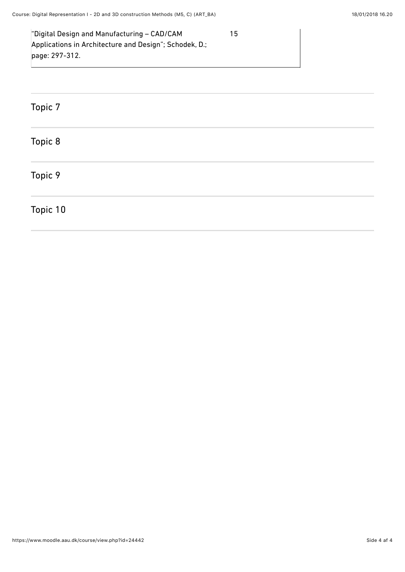| "Digital Design and Manufacturing - CAD/CAM            | 15 |
|--------------------------------------------------------|----|
| Applications in Architecture and Design"; Schodek, D.; |    |
| page: 297-312.                                         |    |
|                                                        |    |

| Topic 7  |  |  |  |
|----------|--|--|--|
| Topic 8  |  |  |  |
| Topic 9  |  |  |  |
| Topic 10 |  |  |  |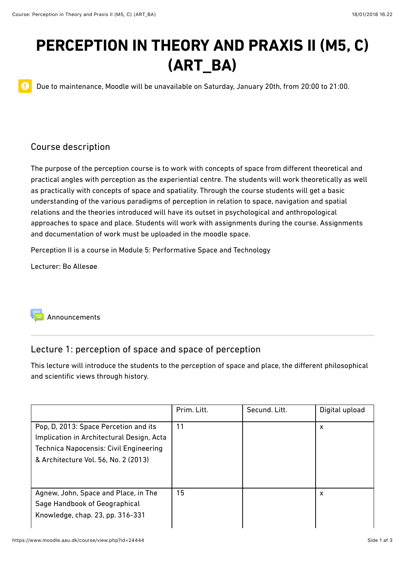# **PERCEPTION IN THEORY AND PRAXIS II (M5, C) (ART\_BA)**

Due to maintenance, Moodle will be unavailable on Saturday, January 20th, from 20:00 to 21:00.

# Course description

 $\mathbf 0$ 

The purpose of the perception course is to work with concepts of space from diferent theoretical and practical angles with perception as the experiential centre. The students will work theoretically as well as practically with concepts of space and spatiality. Through the course students will get a basic understanding of the various paradigms of perception in relation to space, navigation and spatial relations and the theories introduced will have its outset in psychological and anthropological approaches to space and place. Students will work with assignments during the course. Assignments and documentation of work must be uploaded in the moodle space.

Perception II is a course in [Module 5: Performative Space and Technology](https://www.moodle.aau.dk/course/view.php?id=20972)

Lecturer: Bo Allesøe



# Lecture 1: perception of space and space of perception

This lecture will introduce the students to the perception of space and place, the diferent philosophical and scientific views through history.

|                                                                                                                                                                             | Prim. Litt. | Secund. Litt. | Digital upload |
|-----------------------------------------------------------------------------------------------------------------------------------------------------------------------------|-------------|---------------|----------------|
| Pop, D, 2013: Space Percetion and its<br>Implication in Architectural Design, Acta<br><b>Technica Napocensis: Civil Engineering</b><br>& Architecture Vol. 56, No. 2 (2013) | 11          |               | x              |
| Agnew, John, Space and Place, in The<br>Sage Handbook of Geographical<br>Knowledge, chap. 23, pp. 316-331                                                                   | 15          |               | x              |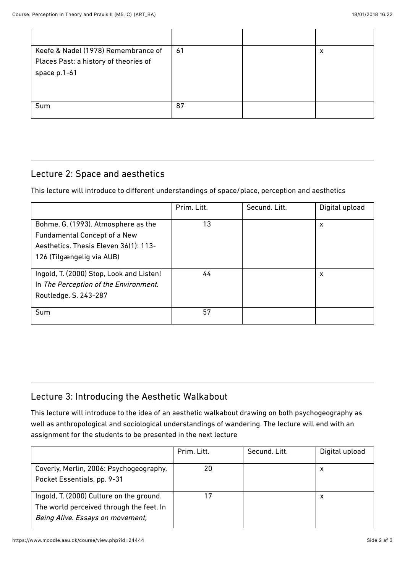| Keefe & Nadel (1978) Remembrance of   | 61 | х |
|---------------------------------------|----|---|
| Places Past: a history of theories of |    |   |
| space p.1-61                          |    |   |
|                                       |    |   |
|                                       |    |   |
| Sum                                   | 87 |   |
|                                       |    |   |

# Lecture 2: Space and aesthetics

This lecture will introduce to diferent understandings of space/place, perception and aesthetics

|                                          | Prim. Litt. | Secund. Litt. | Digital upload |
|------------------------------------------|-------------|---------------|----------------|
| Bohme, G. (1993). Atmosphere as the      | 13          |               | x              |
| <b>Fundamental Concept of a New</b>      |             |               |                |
| Aesthetics. Thesis Eleven 36(1): 113-    |             |               |                |
| 126 (Tilgængelig via AUB)                |             |               |                |
|                                          |             |               |                |
| Ingold, T. (2000) Stop, Look and Listen! | 44          |               | x              |
| In The Perception of the Environment.    |             |               |                |
| Routledge. S. 243-287                    |             |               |                |
|                                          |             |               |                |
| <b>Sum</b>                               | 57          |               |                |
|                                          |             |               |                |

# Lecture 3: Introducing the Aesthetic Walkabout

This lecture will introduce to the idea of an aesthetic walkabout drawing on both psychogeography as well as anthropological and sociological understandings of wandering. The lecture will end with an assignment for the students to be presented in the next lecture

|                                                                                                                          | Prim. Litt. | Secund. Litt. | Digital upload |
|--------------------------------------------------------------------------------------------------------------------------|-------------|---------------|----------------|
| Coverly, Merlin, 2006: Psychogeography,<br>Pocket Essentials, pp. 9-31                                                   | 20          |               | х              |
| Ingold, T. (2000) Culture on the ground.<br>The world perceived through the feet. In<br>Being Alive. Essays on movement, |             |               | х              |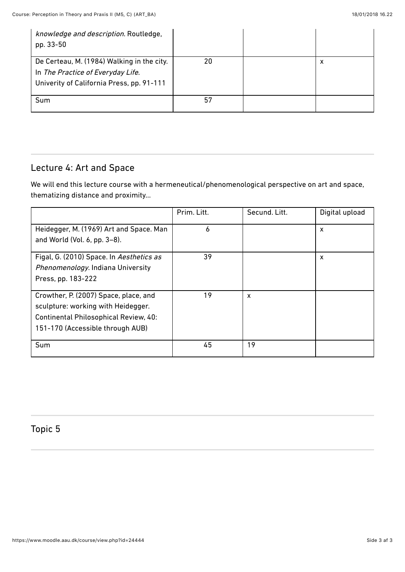| knowledge and description. Routledge,<br>pp. 33-50                                                                           |    |   |
|------------------------------------------------------------------------------------------------------------------------------|----|---|
| De Certeau, M. (1984) Walking in the city.<br>In The Practice of Everyday Life.<br>Univerity of California Press, pp. 91-111 | 20 | х |
| Sum                                                                                                                          | 57 |   |

# Lecture 4: Art and Space

We will end this lecture course with a hermeneutical/phenomenological perspective on art and space, thematizing distance and proximity...

|                                          | Prim. Litt. | Secund. Litt. | Digital upload |
|------------------------------------------|-------------|---------------|----------------|
| Heidegger, M. (1969) Art and Space. Man  | 6           |               | X              |
| and World (Vol. 6, pp. 3-8).             |             |               |                |
| Figal, G. (2010) Space. In Aesthetics as | 39          |               | X              |
| Phenomenology. Indiana University        |             |               |                |
| Press, pp. 183-222                       |             |               |                |
| Crowther, P. (2007) Space, place, and    | 19          | X             |                |
| sculpture: working with Heidegger.       |             |               |                |
| Continental Philosophical Review, 40:    |             |               |                |
| 151-170 (Accessible through AUB)         |             |               |                |
| Sum                                      | 45          | 19            |                |

# Topic 5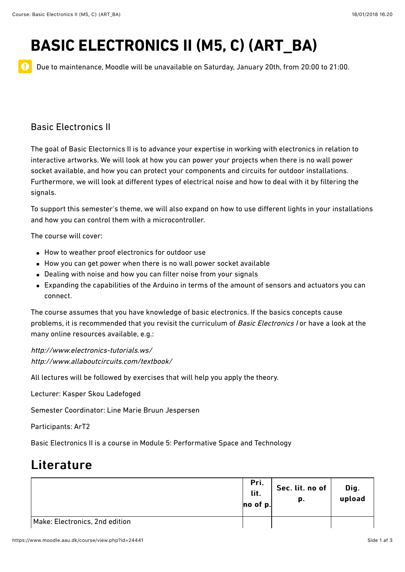# **BASIC ELECTRONICS II (M5, C) (ART\_BA)**

 $\mathbf 0$ Due to maintenance, Moodle will be unavailable on Saturday, January 20th, from 20:00 to 21:00.

# Basic Electronics II

The goal of Basic Electornics II is to advance your expertise in working with electronics in relation to interactive artworks. We will look at how you can power your projects when there is no wall power socket available, and how you can protect your components and circuits for outdoor installations. Furthermore, we will look at diferent types of electrical noise and how to deal with it by filtering the signals.

To support this semester's theme, we will also expand on how to use diferent lights in your installations and how you can control them with a microcontroller.

The course will cover:

- How to weather proof electronics for outdoor use
- How you can get power when there is no wall power socket available
- Dealing with noise and how you can filter noise from your signals
- Expanding the capabilities of the Arduino in terms of the amount of sensors and actuators you can connect.

The course assumes that you have knowledge of basic electronics. If the basics concepts cause problems, it is recommended that you revisit the curriculum of Basic Electronics I or have a look at the many online resources available, e.g.:

<http://www.electronics-tutorials.ws/> <http://www.allaboutcircuits.com/textbook/>

All lectures will be followed by exercises that will help you apply the theory.

Lecturer: [Kasper Skou Ladefoged](http://personprofil.aau.dk/132471)

Semester Coordinator: [Line Marie Bruun Jespersen](http://personprofil.aau.dk/118168)

Participants: ArT2

Basic Electronics II is a course in [Module 5: Performative Space and Technology](https://www.moodle.aau.dk/course/view.php?id=24445)

|                                | Pri.<br>lit.<br>no of p. | Sec. lit. no of<br>p. | Dig.<br>upload |
|--------------------------------|--------------------------|-----------------------|----------------|
| Make: Electronics, 2nd edition |                          |                       |                |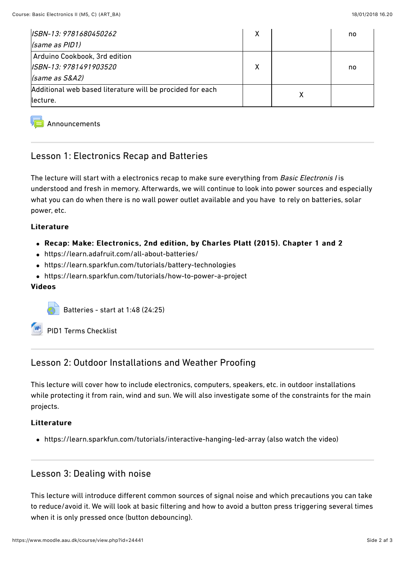| ISBN-13: 9781680450262                                    | X | no |
|-----------------------------------------------------------|---|----|
| (same as PID1)                                            |   |    |
| Arduino Cookbook, 3rd edition                             |   |    |
| ISBN-13: 9781491903520                                    | χ | no |
| (same as S&A2)                                            |   |    |
| Additional web based literature will be procided for each |   |    |
| llecture.                                                 |   |    |

#### **[Announcements](https://www.moodle.aau.dk/mod/forum/view.php?id=697019)**

## Lesson 1: Electronics Recap and Batteries

The lecture will start with a electronics recap to make sure everything from Basic Electronis I is understood and fresh in memory. Afterwards, we will continue to look into power sources and especially what you can do when there is no wall power outlet available and you have to rely on batteries, solar power, etc.

#### Literature

#### • Recap: Make: Electronics, 2nd edition, by Charles Platt (2015). Chapter 1 and 2

- <https://learn.adafruit.com/all-about-batteries/>
- <https://learn.sparkfun.com/tutorials/battery-technologies>
- <https://learn.sparkfun.com/tutorials/how-to-power-a-project>

#### Videos Videos

[Batteries - start at 1:48 \(24:25\)](https://www.moodle.aau.dk/mod/url/view.php?id=701689)

[PID1 Terms Checklist](https://www.moodle.aau.dk/mod/resource/view.php?id=701692)

## Lesson 2: Outdoor Installations and Weather Proofing

This lecture will cover how to include electronics, computers, speakers, etc. in outdoor installations while protecting it from rain, wind and sun. We will also investigate some of the constraints for the main projects.

#### Litterature

<https://learn.sparkfun.com/tutorials/interactive-hanging-led-array>(also watch the video)

#### Lesson 3: Dealing with noise

This lecture will introduce diferent common sources of signal noise and which precautions you can take to reduce/avoid it. We will look at basic filtering and how to avoid a button press triggering several times when it is only pressed once (button debouncing).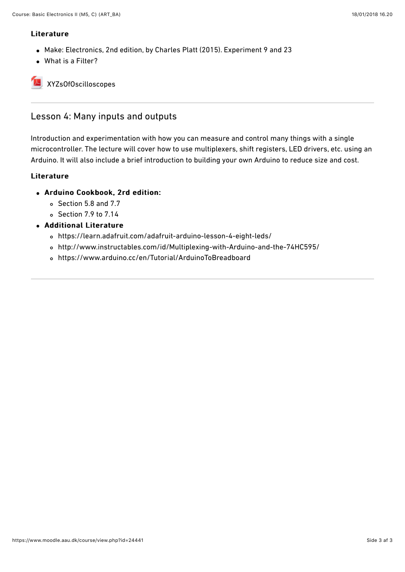#### Literature

- Make: Electronics, 2nd edition, by Charles Platt (2015). Experiment 9 and 23
- [What is a Filter?](https://www.allaboutcircuits.com/textbook/alternating-current/chpt-8/what-is-a-filter/)

[XYZsOfOscilloscopes](https://www.moodle.aau.dk/mod/resource/view.php?id=701694)

# Lesson 4: Many inputs and outputs

Introduction and experimentation with how you can measure and control many things with a single microcontroller. The lecture will cover how to use multiplexers, shift registers, LED drivers, etc. using an Arduino. It will also include a brief introduction to building your own Arduino to reduce size and cost.

- Arduino Cookbook, 2rd edition:
	- Section 5.8 and 7.7
	- $\circ$  Section 7.9 to 7.14
- Additional Literature
	- <https://learn.adafruit.com/adafruit-arduino-lesson-4-eight-leds/>
	- [http://www.instructables.com/id/Multiplexing-with-Arduino-and-the-74HC595/](https://learn.adafruit.com/adafruit-arduino-lesson-4-eight-leds/)
	- <https://www.arduino.cc/en/Tutorial/ArduinoToBreadboard>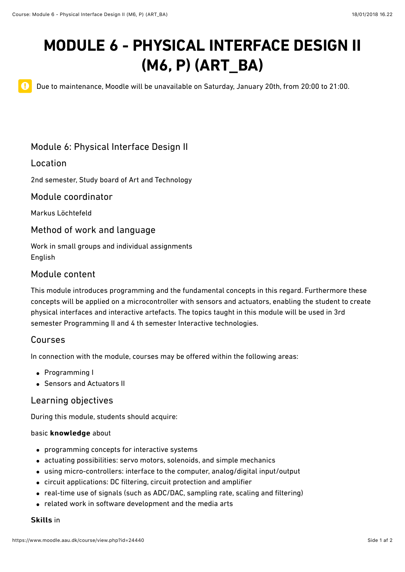# **MODULE 6 - PHYSICAL INTERFACE DESIGN II (M6, P) (ART\_BA)**

 $\mathbf 0$ 

Due to maintenance, Moodle will be unavailable on Saturday, January 20th, from 20:00 to 21:00.

# Module 6: Physical Interface Design II

### Location

2nd semester, Study board of Art and Technology

#### Module coordinator

[Markus Löchtefeld](http://personprofil.aau.dk/137170?lang=en)

#### Method of work and language

Work in small groups and individual assignments English

### Module content

This module introduces programming and the fundamental concepts in this regard. Furthermore these concepts will be applied on a microcontroller with sensors and actuators, enabling the student to create physical interfaces and interactive artefacts. The topics taught in this module will be used in 3rd semester Programming II and 4 th semester Interactive technologies.

#### Courses

In connection with the module, courses may be ofered within the following areas:

- [Programming I](https://www.moodle.aau.dk/course/view.php?id=24439#section-0)
- [Sensors and Actuators II](https://www.moodle.aau.dk/course/view.php?id=24438#section-0)

#### Learning objectives

During this module, students should acquire:

#### basic knowledge about

- programming concepts for interactive systems
- actuating possibilities: servo motors, solenoids, and simple mechanics
- using micro-controllers: interface to the computer, analog/digital input/output
- circuit applications: DC filtering, circuit protection and amplifier
- real-time use of signals (such as ADC/DAC, sampling rate, scaling and filtering)
- related work in software development and the media arts

#### **Skills in**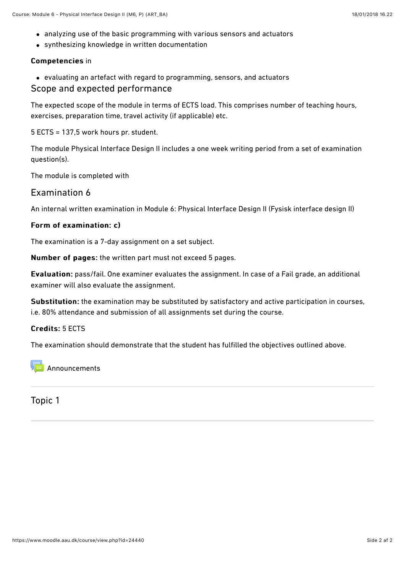- analyzing use of the basic programming with various sensors and actuators
- synthesizing knowledge in written documentation

#### Competencies in

evaluating an artefact with regard to programming, sensors, and actuators

#### Scope and expected performance

The expected scope of the module in terms of ECTS load. This comprises number of teaching hours, exercises, preparation time, travel activity (if applicable) etc.

5 ECTS = 137,5 work hours pr. student.

The module Physical Interface Design II includes a one week writing period from a set of examination question(s).

The module is completed with

## Examination 6

An internal written examination in Module 6: Physical Interface Design II (Fysisk interface design II)

#### Form of examination: c)

The examination is a 7-day assignment on a set subject.

Number of pages: the written part must not exceed 5 pages.

Evaluation: pass/fail. One examiner evaluates the assignment. In case of a Fail grade, an additional examiner will also evaluate the assignment.

Substitution: the examination may be substituted by satisfactory and active participation in courses, i.e. 80% attendance and submission of all assignments set during the course.

#### Credits: 5 ECTS

The examination should demonstrate that the student has fulfilled the objectives outlined above.

[Announcements](https://www.moodle.aau.dk/mod/forum/view.php?id=697059)

Topic 1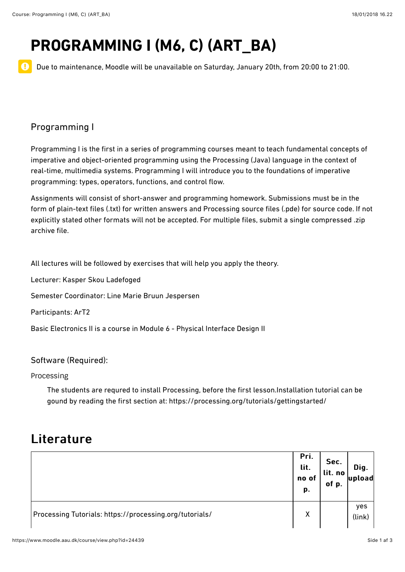$\mathbf 0$ 

# **PROGRAMMING I (M6, C) (ART\_BA)**

Due to maintenance, Moodle will be unavailable on Saturday, January 20th, from 20:00 to 21:00.

# Programming I

Programming I is the first in a series of programming courses meant to teach fundamental concepts of imperative and object-oriented programming using the Processing (Java) language in the context of real-time, multimedia systems. Programming I will introduce you to the foundations of imperative programming: types, operators, functions, and control flow.

Assignments will consist of short-answer and programming homework. Submissions must be in the form of plain-text files (.txt) for written answers and Processing source files (.pde) for source code. If not explicitly stated other formats will not be accepted. For multiple files, submit a single compressed .zip archive file.

All lectures will be followed by exercises that will help you apply the theory.

Lecturer: [Kasper Skou Ladefoged](http://personprofil.aau.dk/132471)

Semester Coordinator: [Line Marie Bruun Jespersen](http://personprofil.aau.dk/118168)

Participants: ArT2

Basic Electronics II is a course in [Module 6 - Physical Interface Design II](https://www.moodle.aau.dk/course/view.php?id=24438)

#### Software (Required):

Processing

The students are requred to install Processing, before the first lesson.Installation tutorial can be gound by reading the first section at:<https://processing.org/tutorials/gettingstarted/>

|                                                         | Pri.<br>lit.<br>no of<br>р. | Sec.<br>lit. no<br>of p. | Dig.<br>upload |
|---------------------------------------------------------|-----------------------------|--------------------------|----------------|
| Processing Tutorials: https://processing.org/tutorials/ | χ                           |                          | yes<br>(link)  |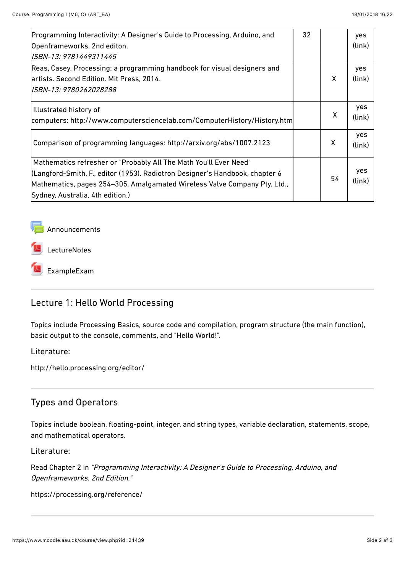| Programming Interactivity: A Designer's Guide to Processing, Arduino, and                                                                                                                                                                                          | 32 |    | yes           |
|--------------------------------------------------------------------------------------------------------------------------------------------------------------------------------------------------------------------------------------------------------------------|----|----|---------------|
| Openframeworks. 2nd editon.                                                                                                                                                                                                                                        |    |    | (link)        |
| ISBN-13: 9781449311445                                                                                                                                                                                                                                             |    |    |               |
| Reas, Casey. Processing: a programming handbook for visual designers and                                                                                                                                                                                           |    |    | yes           |
| artists. Second Edition. Mit Press, 2014.                                                                                                                                                                                                                          |    | X  | (link)        |
| ISBN-13: 9780262028288                                                                                                                                                                                                                                             |    |    |               |
| Illustrated history of                                                                                                                                                                                                                                             |    |    | yes           |
| computers: http://www.computersciencelab.com/ComputerHistory/History.htm                                                                                                                                                                                           |    | χ  | (link)        |
| Comparison of programming languages: http://arxiv.org/abs/1007.2123                                                                                                                                                                                                |    | X  | yes<br>(link) |
| Mathematics refresher or "Probably All The Math You'll Ever Need"<br>(Langford-Smith, F., editor (1953). Radiotron Designer's Handbook, chapter 6<br>Mathematics, pages 254–305. Amalgamated Wireless Valve Company Pty. Ltd.,<br>Sydney, Australia, 4th edition.) |    | 54 | yes<br>(link) |



**[LectureNotes](https://www.moodle.aau.dk/mod/resource/view.php?id=701733)** 

[ExampleExam](https://www.moodle.aau.dk/mod/resource/view.php?id=701734)

# Lecture 1: Hello World Processing

Topics include Processing Basics, source code and compilation, program structure (the main function), basic output to the console, comments, and "Hello World!".

Literature:

<http://hello.processing.org/editor/>

# Types and Operators

Topics include boolean, floating-point, integer, and string types, variable declaration, statements, scope, and mathematical operators.

Literature:

Read Chapter 2 in "Programming Interactivity: A Designer's Guide to Processing, Arduino, and Openframeworks. 2nd Edition."

<https://processing.org/reference/>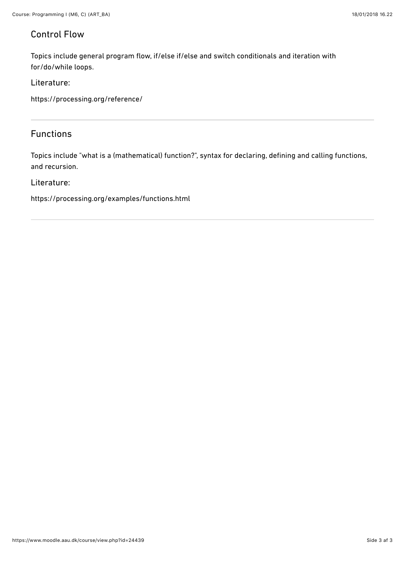# Control Flow

Topics include general program flow, if/else if/else and switch conditionals and iteration with for/do/while loops.

Literature:

<https://processing.org/reference/>

## Functions

Topics include "what is a (mathematical) function?", syntax for declaring, defining and calling functions, and recursion.

#### Literature:

<https://processing.org/examples/functions.html>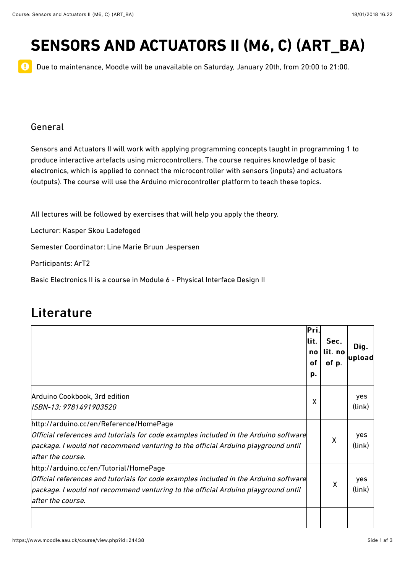# **SENSORS AND ACTUATORS II (M6, C) (ART\_BA)**

Due to maintenance, Moodle will be unavailable on Saturday, January 20th, from 20:00 to 21:00.

### General

 $\mathbf 0$ 

Sensors and Actuators II will work with applying programming concepts taught in programming 1 to produce interactive artefacts using microcontrollers. The course requires knowledge of basic electronics, which is applied to connect the microcontroller with sensors (inputs) and actuators (outputs). The course will use the Arduino microcontroller platform to teach these topics.

All lectures will be followed by exercises that will help you apply the theory.

Lecturer: [Kasper Skou Ladefoged](http://personprofil.aau.dk/132471)

Semester Coordinator: [Line Marie Bruun Jespersen](http://personprofil.aau.dk/118168)

Participants: ArT2

Basic Electronics II is a course in [Module 6 - Physical Interface Design II](https://www.moodle.aau.dk/course/view.php?id=24438)

|                                                                                                                                                                                                                                           | lPri.<br>lit.<br>no<br>of<br>p. | Sec.<br>lit. no<br>of p. | Dig.<br>upload |
|-------------------------------------------------------------------------------------------------------------------------------------------------------------------------------------------------------------------------------------------|---------------------------------|--------------------------|----------------|
| Arduino Cookbook, 3rd edition<br>ISBN-13: 9781491903520                                                                                                                                                                                   | X                               |                          | yes<br>(link)  |
| http://arduino.cc/en/Reference/HomePage<br>Official references and tutorials for code examples included in the Arduino software<br>package. I would not recommend venturing to the official Arduino playground until<br>after the course. |                                 | X                        | yes<br>(link)  |
| http://arduino.cc/en/Tutorial/HomePage<br>Official references and tutorials for code examples included in the Arduino software<br>package. I would not recommend venturing to the official Arduino playground until<br>after the course.  |                                 | X                        | yes<br>(link)  |
|                                                                                                                                                                                                                                           |                                 |                          |                |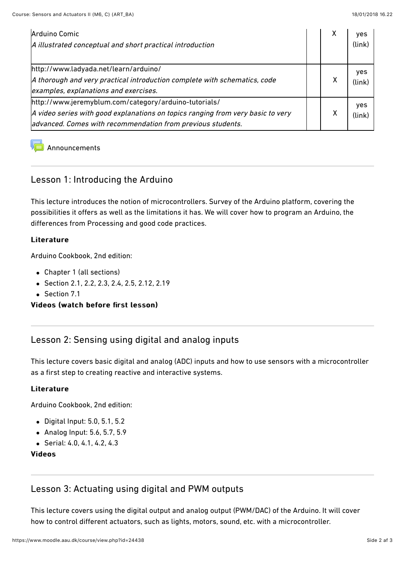| Arduino Comic<br>A illustrated conceptual and short practical introduction                                                                                                                              | х | yes<br>(link) |
|---------------------------------------------------------------------------------------------------------------------------------------------------------------------------------------------------------|---|---------------|
| http://www.ladyada.net/learn/arduino/<br>A thorough and very practical introduction complete with schematics, code<br>examples, explanations and exercises.                                             | х | yes<br>(link) |
| http://www.jeremyblum.com/category/arduino-tutorials/<br>A video series with good explanations on topics ranging from very basic to very<br>advanced. Comes with recommendation from previous students. | х | yes<br>(link) |

**[Announcements](https://www.moodle.aau.dk/mod/forum/view.php?id=697088)** 

## Lesson 1: Introducing the Arduino

This lecture introduces the notion of microcontrollers. Survey of the Arduino platform, covering the possibilities it offers as well as the limitations it has. We will cover how to program an Arduino, the diferences from Processing and good code practices.

#### Literature

Arduino Cookbook, 2nd edition:

- Chapter 1 (all sections)
- Section 2.1, 2.2, 2.3, 2.4, 2.5, 2.12, 2.19
- Section 7.1

#### Videos (watch before first lesson)

## Lesson 2: Sensing using digital and analog inputs

This lecture covers basic digital and analog (ADC) inputs and how to use sensors with a microcontroller as a first step to creating reactive and interactive systems.

#### Literature

Arduino Cookbook, 2nd edition:

- Digital Input: 5.0, 5.1, 5.2
- Analog Input: 5.6, 5.7, 5.9
- Serial: 4.0, 4.1, 4.2, 4.3

#### **Videos**

## Lesson 3: Actuating using digital and PWM outputs

This lecture covers using the digital output and analog output (PWM/DAC) of the Arduino. It will cover how to control diferent actuators, such as lights, motors, sound, etc. with a microcontroller.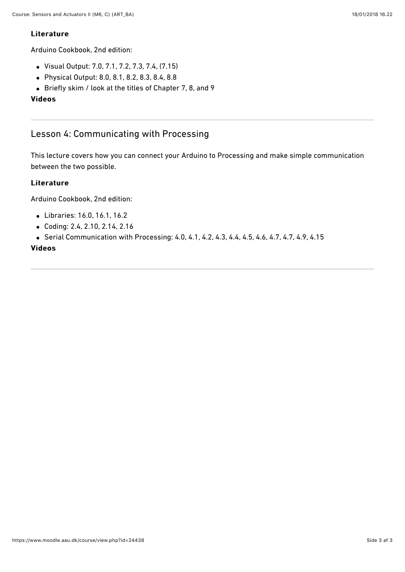#### **Literature**

Arduino Cookbook, 2nd edition:

- Visual Output: 7.0, 7.1, 7.2, 7.3, 7.4, (7.15)
- Physical Output: 8.0, 8.1, 8.2, 8.3, 8.4, 8.8
- Briefly skim / look at the titles of Chapter 7, 8, and 9

#### **Videos**

# Lesson 4: Communicating with Processing

This lecture covers how you can connect your Arduino to Processing and make simple communication between the two possible.

#### Literature

Arduino Cookbook, 2nd edition:

- Libraries: 16.0, 16.1, 16.2
- Coding: 2.4, 2.10, 2.14, 2.16
- Serial Communication with Processing: 4.0, 4.1, 4.2, 4.3, 4.4, 4.5, 4.6, 4.7, 4.7, 4.9, 4.15

#### **Videos**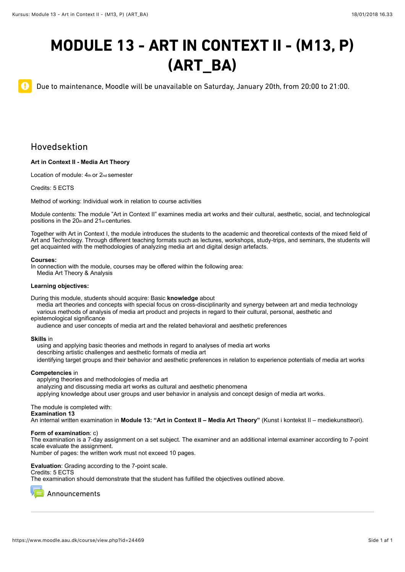# **MODULE 13 - ART IN CONTEXT II - (M13, P) (ART\_BA)**

Due to maintenance, Moodle will be unavailable on Saturday, January 20th, from 20:00 to 21:00.

## Hovedsektion

 $\mathbf 0$ 

#### **Art in Context II - Media Art Theory**

Location of module: 4th or 2nd semester

Credits: 5 ECTS

Method of working: Individual work in relation to course activities

Module contents: The module "Art in Context II" examines media art works and their cultural, aesthetic, social, and technological positions in the 20th and 21st centuries.

Together with Art in Context I, the module introduces the students to the academic and theoretical contexts of the mixed field of Art and Technology. Through different teaching formats such as lectures, workshops, study-trips, and seminars, the students will get acquainted with the methodologies of analyzing media art and digital design artefacts.

#### **Courses:**

In connection with the module, courses may be offered within the following area: Media Art Theory & Analysis

#### **Learning objectives:**

During this module, students should acquire: Basic **knowledge** about

 media art theories and concepts with special focus on cross-disciplinarity and synergy between art and media technology various methods of analysis of media art product and projects in regard to their cultural, personal, aesthetic and epistemological significance

audience and user concepts of media art and the related behavioral and aesthetic preferences

#### **Skills** in

 using and applying basic theories and methods in regard to analyses of media art works describing artistic challenges and aesthetic formats of media art identifying target groups and their behavior and aesthetic preferences in relation to experience potentials of media art works

#### **Competencies** in

applying theories and methodologies of media art

analyzing and discussing media art works as cultural and aesthetic phenomena

applying knowledge about user groups and user behavior in analysis and concept design of media art works.

#### The module is completed with:

**Examination 13** 

An internal written examination in **Module 13: "Art in Context II – Media Art Theory"** (Kunst i kontekst II – mediekunstteori).

#### **Form of examination**: c)

The examination is a 7-day assignment on a set subject. The examiner and an additional internal examiner according to 7-point scale evaluate the assignment.

Number of pages: the written work must not exceed 10 pages.

**Evaluation**: Grading according to the 7-point scale.

Credits: 5 ECTS

The examination should demonstrate that the student has fulfilled the objectives outlined above.

[Announcements](https://www.moodle.aau.dk/mod/forum/view.php?id=710022)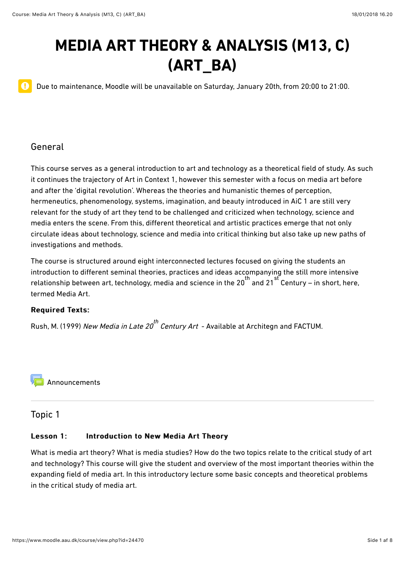# **MEDIA ART THEORY & ANALYSIS (M13, C) (ART\_BA)**

Due to maintenance, Moodle will be unavailable on Saturday, January 20th, from 20:00 to 21:00.

### General

 $\mathbf 0$ 

This course serves as a general introduction to art and technology as a theoretical field of study. As such it continues the trajectory of Art in Context 1, however this semester with a focus on media art before and after the 'digital revolution'. Whereas the theories and humanistic themes of perception, hermeneutics, phenomenology, systems, imagination, and beauty introduced in AiC 1 are still very relevant for the study of art they tend to be challenged and criticized when technology, science and media enters the scene. From this, diferent theoretical and artistic practices emerge that not only circulate ideas about technology, science and media into critical thinking but also take up new paths of investigations and methods.

The course is structured around eight interconnected lectures focused on giving the students an introduction to diferent seminal theories, practices and ideas accompanying the still more intensive relationship between art, technology, media and science in the 20<sup>th</sup> and 21 Century – in short, here, termed Media Art.

#### Required Texts: Required Texts:

Rush, M. (1999) *New Media in Late 20<sup>th</sup> Century Art* – Available at Architegn and FACTUM.

[Announcements](https://www.moodle.aau.dk/mod/forum/view.php?id=696506)

#### Topic 1

#### Lesson 1: Introduction to New Media Art Theory

What is media art theory? What is media studies? How do the two topics relate to the critical study of art and technology? This course will give the student and overview of the most important theories within the expanding field of media art. In this introductory lecture some basic concepts and theoretical problems in the critical study of media art.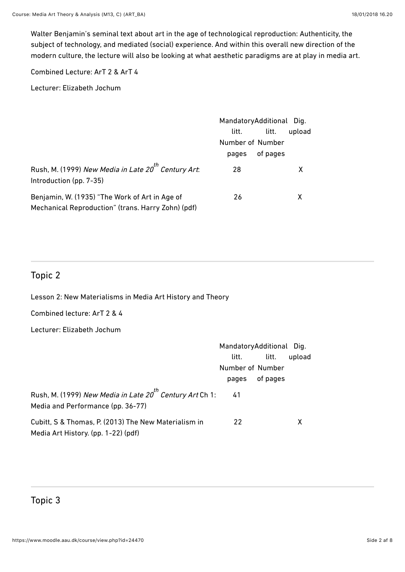Walter Benjamin's seminal text about art in the age of technological reproduction: Authenticity, the subject of technology, and mediated (social) experience. And within this overall new direction of the modern culture, the lecture will also be looking at what aesthetic paradigms are at play in media art.

Combined Lecture: ArT 2 & ArT 4

Lecturer: Elizabeth Jochum

|                                                                                                      | MandatoryAdditional Dig. |          |        |
|------------------------------------------------------------------------------------------------------|--------------------------|----------|--------|
|                                                                                                      | litt.                    | litt.    | upload |
|                                                                                                      | Number of Number         |          |        |
|                                                                                                      | pages                    | of pages |        |
| Rush, M. (1999) New Media in Late 20 <sup>th</sup> Century Art:<br>Introduction (pp. 7-35)           | 28                       |          | X      |
| Benjamin, W. (1935) "The Work of Art in Age of<br>Mechanical Reproduction" (trans. Harry Zohn) (pdf) | 26                       |          | x      |

# Topic 2

Lesson 2: New Materialisms in Media Art History and Theory

Combined lecture: ArT 2 & 4

Lecturer: Elizabeth Jochum

|                                                                                                           | MandatoryAdditional Dig. |          |        |
|-----------------------------------------------------------------------------------------------------------|--------------------------|----------|--------|
|                                                                                                           | litt.                    | litt.    | upload |
|                                                                                                           | Number of Number         |          |        |
|                                                                                                           | pages                    | of pages |        |
| Rush, M. (1999) New Media in Late 20 <sup>th</sup> Century Art Ch 1:<br>Media and Performance (pp. 36-77) | - 41                     |          |        |
| Cubitt, S & Thomas, P. (2013) The New Materialism in<br>Media Art History. (pp. 1-22) (pdf)               | 22                       |          | X      |

# Topic 3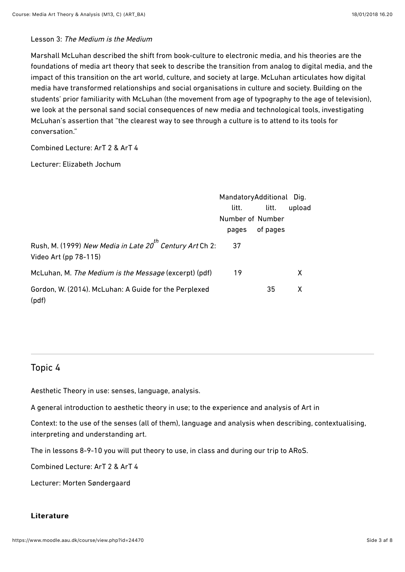#### Lesson 3: The Medium is the Medium

Marshall McLuhan described the shift from book-culture to electronic media, and his theories are the foundations of media art theory that seek to describe the transition from analog to digital media, and the impact of this transition on the art world, culture, and society at large. McLuhan articulates how digital media have transformed relationships and social organisations in culture and society. Building on the students' prior familiarity with McLuhan (the movement from age of typography to the age of television), we look at the personal sand social consequences of new media and technological tools, investigating McLuhan's assertion that "the clearest way to see through a culture is to attend to its tools for conversation."

#### Combined Lecture: ArT 2 & ArT 4

#### Lecturer: Elizabeth Jochum

|                                                                                               | MandatoryAdditional Dig. |          |        |
|-----------------------------------------------------------------------------------------------|--------------------------|----------|--------|
|                                                                                               | litt.                    | litt.    | upload |
|                                                                                               | Number of Number         |          |        |
|                                                                                               | pages                    | of pages |        |
| Rush, M. (1999) New Media in Late 20 <sup>th</sup> Century Art Ch 2:<br>Video Art (pp 78-115) | 37                       |          |        |
| McLuhan, M. The Medium is the Message (excerpt) (pdf)                                         | 19                       |          | x      |
| Gordon, W. (2014). McLuhan: A Guide for the Perplexed<br>(pdf)                                |                          | 35       | X      |

#### Topic 4

Aesthetic Theory in use: senses, language, analysis.

A general introduction to aesthetic theory in use; to the experience and analysis of Art in

Context: to the use of the senses (all of them), language and analysis when describing, contextualising, interpreting and understanding art.

The in lessons 8-9-10 you will put theory to use, in class and during our trip to ARoS.

Combined Lecture: ArT 2 & ArT 4

Lecturer: Morten Søndergaard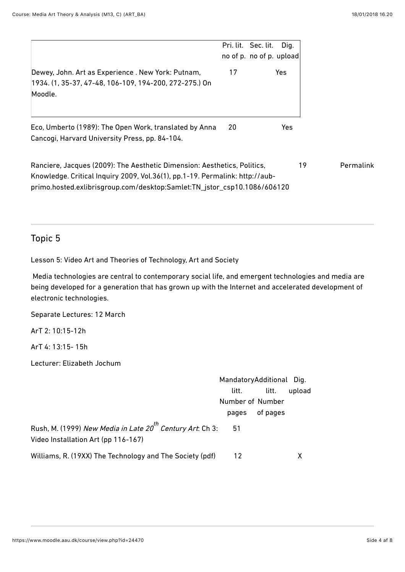|                                                                                                                                                                                                                                      |    | Pri. lit. Sec. lit.<br>no of p. no of p. upload | Dig.       |
|--------------------------------------------------------------------------------------------------------------------------------------------------------------------------------------------------------------------------------------|----|-------------------------------------------------|------------|
| Dewey, John. Art as Experience . New York: Putnam,<br>1934. (1, 35-37, 47-48, 106-109, 194-200, 272-275.) On<br>Moodle.                                                                                                              | 17 |                                                 | Yes.       |
| Eco, Umberto (1989): The Open Work, translated by Anna<br>Cancogi, Harvard University Press, pp. 84-104.                                                                                                                             | 20 |                                                 | <b>Yes</b> |
| Ranciere, Jacques (2009): The Aesthetic Dimension: Aesthetics, Politics,<br>Knowledge. Critical Inquiry 2009, Vol.36(1), pp.1-19. Permalink: http://aub-<br>primo.hosted.exlibrisgroup.com/desktop:Samlet:TN_jstor_csp10.1086/606120 |    |                                                 |            |

# Topic 5

Lesson 5: Video Art and Theories of Technology, Art and Society

 Media technologies are central to contemporary social life, and emergent technologies and media are being developed for a generation that has grown up with the Internet and accelerated development of electronic technologies.

Separate Lectures: 12 March

ArT 2: 10:15-12h

ArT 4: 13:15- 15h

Lecturer: Elizabeth Jochum

|                                                                                                              | MandatoryAdditional Dig. |          |        |
|--------------------------------------------------------------------------------------------------------------|--------------------------|----------|--------|
|                                                                                                              | litt.                    | litt.    | upload |
|                                                                                                              | Number of Number         |          |        |
|                                                                                                              | pages                    | of pages |        |
| Rush, M. (1999) New Media in Late 20 <sup>th</sup> Century Art: Ch 3:<br>Video Installation Art (pp 116-167) | 51                       |          |        |
| Williams, R. (19XX) The Technology and The Society (pdf)                                                     | 12                       |          |        |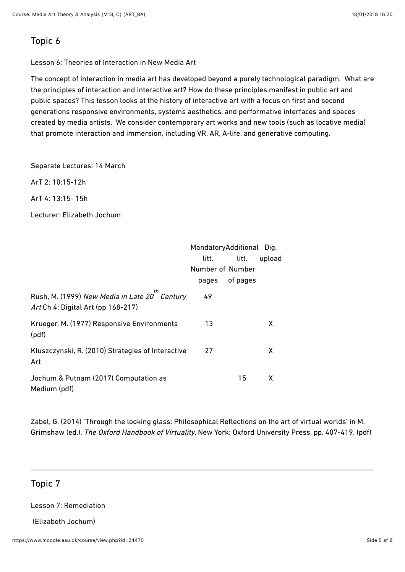# Topic 6

Lesson 6: Theories of Interaction in New Media Art

The concept of interaction in media art has developed beyond a purely technological paradigm. What are the principles of interaction and interactive art? How do these principles manifest in public art and public spaces? This lesson looks at the history of interactive art with a focus on first and second generations responsive environments, systems aesthetics, and performative interfaces and spaces created by media artists. We consider contemporary art works and new tools (such as locative media) that promote interaction and immersion, including VR, AR, A-life, and generative computing.

Separate Lectures: 14 March

ArT 2: 10:15-12h

ArT 4: 13:15- 15h

Lecturer: Elizabeth Jochum

|                                                                                                  | MandatoryAdditional Dig. |          |        |  |
|--------------------------------------------------------------------------------------------------|--------------------------|----------|--------|--|
|                                                                                                  | litt.                    | litt.    | upload |  |
|                                                                                                  | Number of Number         |          |        |  |
|                                                                                                  | pages                    | of pages |        |  |
| Rush, M. (1999) New Media in Late 20 <sup>th</sup> Century<br>Art Ch 4: Digital Art (pp 168-217) | 49                       |          |        |  |
| Krueger, M. (1977) Responsive Environments<br>(pdf)                                              | 13                       |          | X      |  |
| Kluszczynski, R. (2010) Strategies of Interactive<br>Art                                         | 27                       |          | X      |  |
| Jochum & Putnam (2017) Computation as<br>Medium (pdf)                                            |                          | 15       | X      |  |

Zabel, G. (2014) 'Through the looking glass: Philosophical Reflections on the art of virtual worlds' in M. Grimshaw (ed.), The Oxford Handbook of Virtuality, New York: Oxford University Press, pp. 407-419. (pdf)

# Topic 7

Lesson 7: Remediation

(Elizabeth Jochum)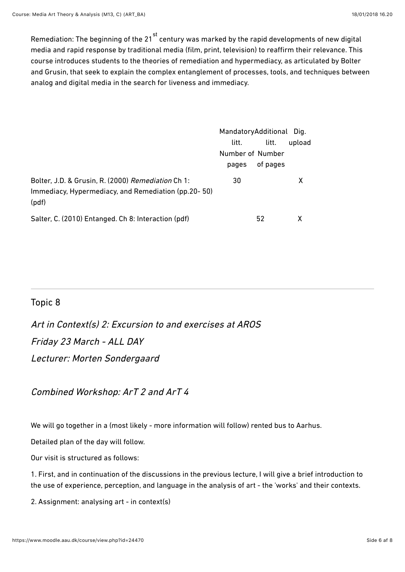Remediation: The beginning of the 21 stratury was marked by the rapid developments of new digital media and rapid response by traditional media (film, print, television) to reaffirm their relevance. This course introduces students to the theories of remediation and hypermediacy, as articulated by Bolter and Grusin, that seek to explain the complex entanglement of processes, tools, and techniques between analog and digital media in the search for liveness and immediacy.

|                                                                                                                    | MandatoryAdditional Dig. |          |        |
|--------------------------------------------------------------------------------------------------------------------|--------------------------|----------|--------|
|                                                                                                                    | litt.                    | litt.    | upload |
|                                                                                                                    | Number of Number         |          |        |
|                                                                                                                    | pages                    | of pages |        |
| Bolter, J.D. & Grusin, R. (2000) Remediation Ch 1:<br>Immediacy, Hypermediacy, and Remediation (pp.20-50)<br>(pdf) | 30                       |          | x      |
| Salter, C. (2010) Entanged. Ch 8: Interaction (pdf)                                                                |                          | 52       |        |

# Topic 8

Art in Context(s) 2: Excursion to and exercises at AROS Friday 23 March - ALL DAY Lecturer: Morten Sondergaard

Combined Workshop: ArT 2 and ArT 4

We will go together in a (most likely - more information will follow) rented bus to Aarhus.

Detailed plan of the day will follow.

Our visit is structured as follows:

1. First, and in continuation of the discussions in the previous lecture, I will give a brief introduction to the use of experience, perception, and language in the analysis of art - the 'works' and their contexts.

2. Assignment: analysing art - in context(s)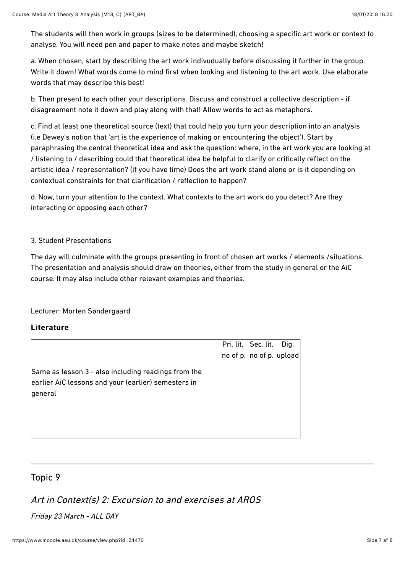The students will then work in groups (sizes to be determined), choosing a specific art work or context to analyse. You will need pen and paper to make notes and maybe sketch!

a. When chosen, start by describing the art work indivudually before discussing it further in the group. Write it down! What words come to mind first when looking and listening to the art work. Use elaborate words that may describe this best!

b. Then present to each other your descriptions. Discuss and construct a collective description - if disagreement note it down and play along with that! Allow words to act as metaphors.

c. Find at least one theoretical source (text) that could help you turn your description into an analysis (i.e Dewey's notion that 'art is the experience of making or encountering the object'). Start by paraphrasing the central theoretical idea and ask the question: where, in the art work you are looking at / listening to / describing could that theoretical idea be helpful to clarify or critically reflect on the artistic idea / representation? (if you have time) Does the art work stand alone or is it depending on contextual constraints for that clarification / reflection to happen?

d. Now, turn your attention to the context. What contexts to the art work do you detect? Are they interacting or opposing each other?

#### 3. Student Presentations

The day will culminate with the groups presenting in front of chosen art works / elements /situations. The presentation and analysis should draw on theories, either from the study in general or the AiC course. It may also include other relevant examples and theories.

#### Lecturer: Morten Søndergaard

#### Literature

Pri. lit. Sec. lit. Dig. no of p. no of p. upload

Same as lesson 3 - also including readings from the earlier AiC lessons and your (earlier) semesters in laeneral

# Topic 9

# Art in Context(s) 2: Excursion to and exercises at AROS

# Friday 23 March - ALL DAY